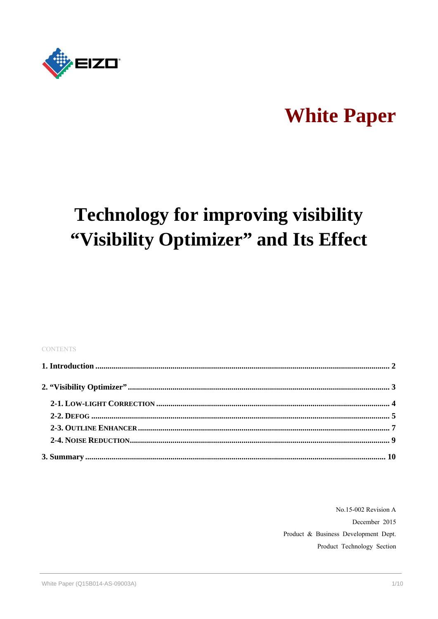

# **White Paper**

# **Technology for improving visibility** "Visibility Optimizer" and Its Effect

#### **CONTENTS**

No.15-002 Revision A December 2015 Product & Business Development Dept. Product Technology Section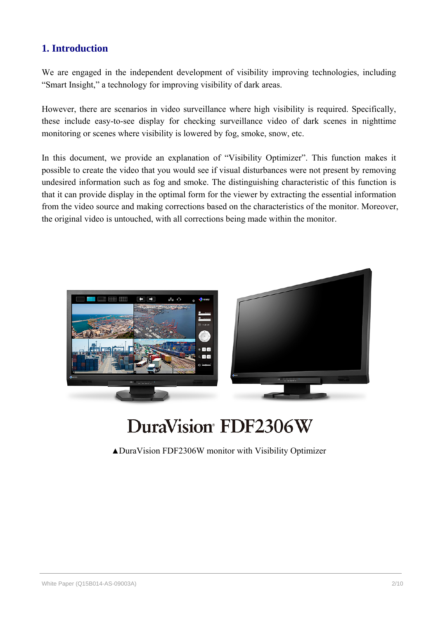# **1. Introduction**

We are engaged in the independent development of visibility improving technologies, including "Smart Insight," a technology for improving visibility of dark areas.

However, there are scenarios in video surveillance where high visibility is required. Specifically, these include easy-to-see display for checking surveillance video of dark scenes in nighttime monitoring or scenes where visibility is lowered by fog, smoke, snow, etc.

In this document, we provide an explanation of "Visibility Optimizer". This function makes it possible to create the video that you would see if visual disturbances were not present by removing undesired information such as fog and smoke. The distinguishing characteristic of this function is that it can provide display in the optimal form for the viewer by extracting the essential information from the video source and making corrections based on the characteristics of the monitor. Moreover, the original video is untouched, with all corrections being made within the monitor.



# DuraVision FDF2306W

▲DuraVision FDF2306W monitor with Visibility Optimizer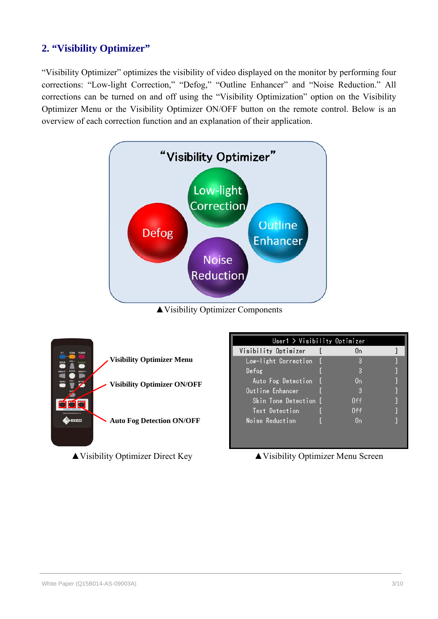# **2. "Visibility Optimizer"**

"Visibility Optimizer" optimizes the visibility of video displayed on the monitor by performing four corrections: "Low-light Correction," "Defog," "Outline Enhancer" and "Noise Reduction." All corrections can be turned on and off using the "Visibility Optimization" option on the Visibility Optimizer Menu or the Visibility Optimizer ON/OFF button on the remote control. Below is an overview of each correction function and an explanation of their application.



▲Visibility Optimizer Components

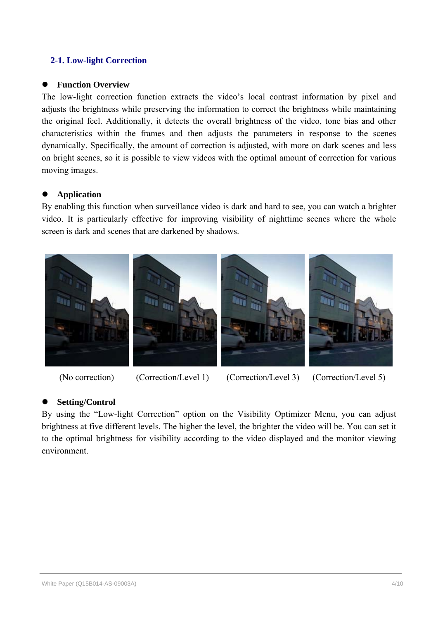# **2-1. Low-light Correction**

### **Function Overview**

The low-light correction function extracts the video's local contrast information by pixel and adjusts the brightness while preserving the information to correct the brightness while maintaining the original feel. Additionally, it detects the overall brightness of the video, tone bias and other characteristics within the frames and then adjusts the parameters in response to the scenes dynamically. Specifically, the amount of correction is adjusted, with more on dark scenes and less on bright scenes, so it is possible to view videos with the optimal amount of correction for various moving images.

## **Application**

By enabling this function when surveillance video is dark and hard to see, you can watch a brighter video. It is particularly effective for improving visibility of nighttime scenes where the whole screen is dark and scenes that are darkened by shadows.



(No correction) (Correction/Level 1) (Correction/Level 3) (Correction/Level 5)

# **Setting/Control**

By using the "Low-light Correction" option on the Visibility Optimizer Menu, you can adjust brightness at five different levels. The higher the level, the brighter the video will be. You can set it to the optimal brightness for visibility according to the video displayed and the monitor viewing environment.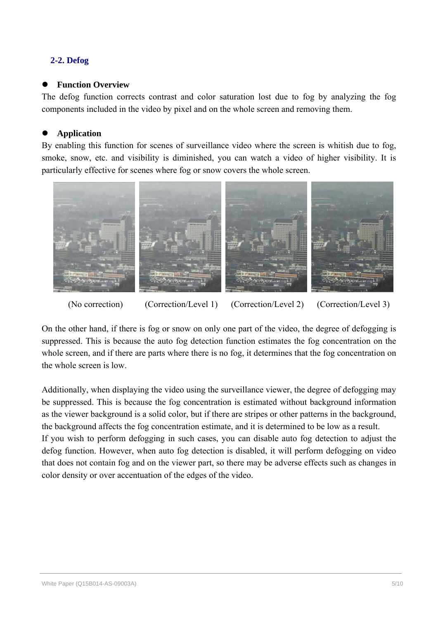# **2-2. Defog**

# **Function Overview**

The defog function corrects contrast and color saturation lost due to fog by analyzing the fog components included in the video by pixel and on the whole screen and removing them.

# **Application**

By enabling this function for scenes of surveillance video where the screen is whitish due to fog, smoke, snow, etc. and visibility is diminished, you can watch a video of higher visibility. It is particularly effective for scenes where fog or snow covers the whole screen.



(No correction) (Correction/Level 1) (Correction/Level 2) (Correction/Level 3)

On the other hand, if there is fog or snow on only one part of the video, the degree of defogging is suppressed. This is because the auto fog detection function estimates the fog concentration on the whole screen, and if there are parts where there is no fog, it determines that the fog concentration on the whole screen is low.

Additionally, when displaying the video using the surveillance viewer, the degree of defogging may be suppressed. This is because the fog concentration is estimated without background information as the viewer background is a solid color, but if there are stripes or other patterns in the background, the background affects the fog concentration estimate, and it is determined to be low as a result. If you wish to perform defogging in such cases, you can disable auto fog detection to adjust the defog function. However, when auto fog detection is disabled, it will perform defogging on video that does not contain fog and on the viewer part, so there may be adverse effects such as changes in color density or over accentuation of the edges of the video.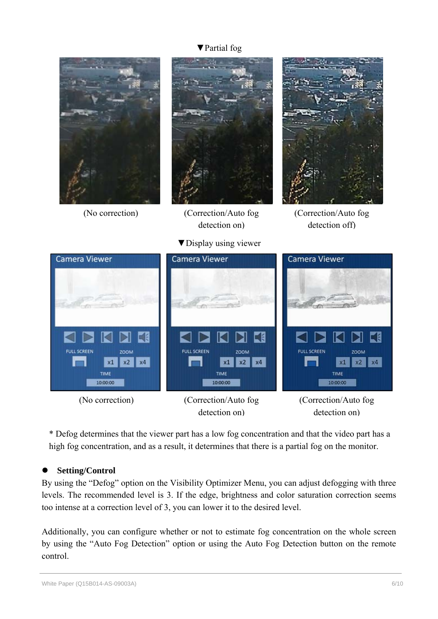# ▼Partial fog



detection on)

detection on)

\* Defog determines that the viewer part has a low fog concentration and that the video part has a high fog concentration, and as a result, it determines that there is a partial fog on the monitor.

# **Setting/Control**

By using the "Defog" option on the Visibility Optimizer Menu, you can adjust defogging with three levels. The recommended level is 3. If the edge, brightness and color saturation correction seems too intense at a correction level of 3, you can lower it to the desired level.

Additionally, you can configure whether or not to estimate fog concentration on the whole screen by using the "Auto Fog Detection" option or using the Auto Fog Detection button on the remote control.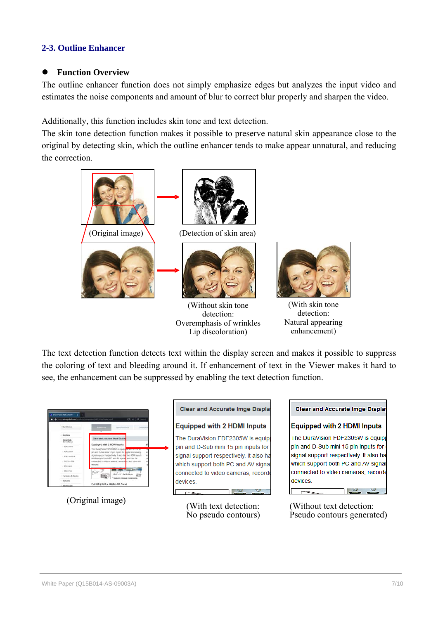# **2-3. Outline Enhancer**

#### **Function Overview**

The outline enhancer function does not simply emphasize edges but analyzes the input video and estimates the noise components and amount of blur to correct blur properly and sharpen the video.

Additionally, this function includes skin tone and text detection.

The skin tone detection function makes it possible to preserve natural skin appearance close to the original by detecting skin, which the outline enhancer tends to make appear unnatural, and reducing the correction.



(Without skin tone detection: Overemphasis of wrinkles Lip discoloration)



(With skin tone detection: Natural appearing enhancement)

The text detection function detects text within the display screen and makes it possible to suppress the coloring of text and bleeding around it. If enhancement of text in the Viewer makes it hard to see, the enhancement can be suppressed by enabling the text detection function.

|                                                                                                                                                                                           |                                                                                                                                                                                                                                                                                                    | <b>Clear and Accurate Imge Display</b>                                                                                                                                                                         | <b>Clear and Accurate Imge Display</b>                                                                                                                                                                            |
|-------------------------------------------------------------------------------------------------------------------------------------------------------------------------------------------|----------------------------------------------------------------------------------------------------------------------------------------------------------------------------------------------------------------------------------------------------------------------------------------------------|----------------------------------------------------------------------------------------------------------------------------------------------------------------------------------------------------------------|-------------------------------------------------------------------------------------------------------------------------------------------------------------------------------------------------------------------|
| DeraWaion                                                                                                                                                                                 | 0.019<br>eignglobal.com/oroducts/sturentime/NIT23ES=/index.html<br>Famuras                                                                                                                                                                                                                         | <b>Equipped with 2 HDMI Inputs</b>                                                                                                                                                                             | <b>Equipped with 2 HDMI Inputs</b>                                                                                                                                                                                |
| <b>Martinne</b><br>Security &<br>· FDF2306W<br>$+$ FCF2305W<br>- FOE2304W-IP<br>$+D42324,008$<br>$+7091903$<br>$+ 9081703$<br>- Fachisten & Konska<br><b>Naturals</b><br><b>Hicmscops</b> | Clear and Accurate Impe Display<br>Equipped with 2 HDMI Inputs<br>The DuraWaijn FDF2305W is equipped to were united are<br>pin and D-Sub mire 15 pm mputs for a gital and analog<br>signal support respectively. If also has bee HDMI inputs<br><b>CIEVICAS</b><br>Full HD (1920 x 1080) LCD Panel | The DuraVision FDF2305W is equipt<br>pin and D-Sub mini 15 pin inputs for<br>signal support respectively. It also ha<br>which support both PC and AV signal<br>connected to video cameras, recorde<br>devices. | The DuraVision FDF2305W is equipp<br>pin and D-Sub mini 15 pin inputs for o<br>signal support respectively. It also has<br>which support both PC and AV signal<br>connected to video cameras, recorde<br>devices. |
| (Original image)                                                                                                                                                                          |                                                                                                                                                                                                                                                                                                    | (With text detection:                                                                                                                                                                                          | (Without text detection:                                                                                                                                                                                          |

No pseudo contours)

(Without text detection: Pseudo contours generated)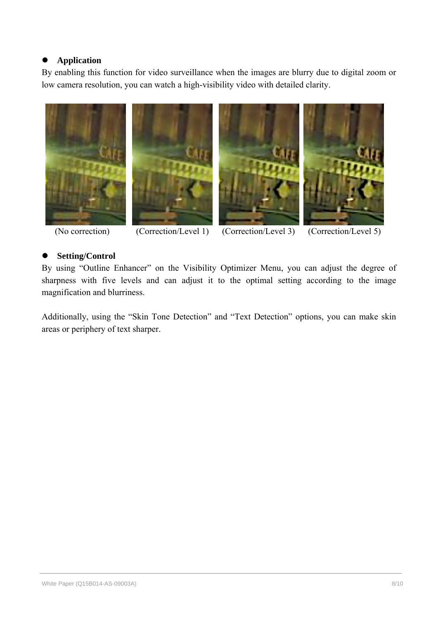# **Application**

By enabling this function for video surveillance when the images are blurry due to digital zoom or low camera resolution, you can watch a high-visibility video with detailed clarity.



(No correction) (Correction/Level 1) (Correction/Level 3) (Correction/Level 5)

# **Setting/Control**

By using "Outline Enhancer" on the Visibility Optimizer Menu, you can adjust the degree of sharpness with five levels and can adjust it to the optimal setting according to the image magnification and blurriness.

Additionally, using the "Skin Tone Detection" and "Text Detection" options, you can make skin areas or periphery of text sharper.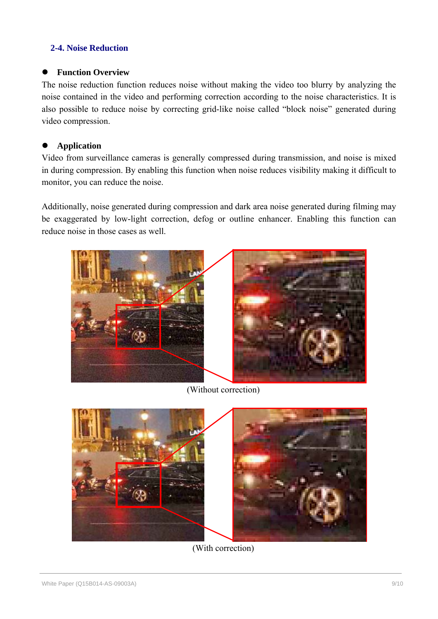# **2-4. Noise Reduction**

### **Function Overview**

The noise reduction function reduces noise without making the video too blurry by analyzing the noise contained in the video and performing correction according to the noise characteristics. It is also possible to reduce noise by correcting grid-like noise called "block noise" generated during video compression.

# **Application**

Video from surveillance cameras is generally compressed during transmission, and noise is mixed in during compression. By enabling this function when noise reduces visibility making it difficult to monitor, you can reduce the noise.

Additionally, noise generated during compression and dark area noise generated during filming may be exaggerated by low-light correction, defog or outline enhancer. Enabling this function can reduce noise in those cases as well.



(Without correction)



(With correction)